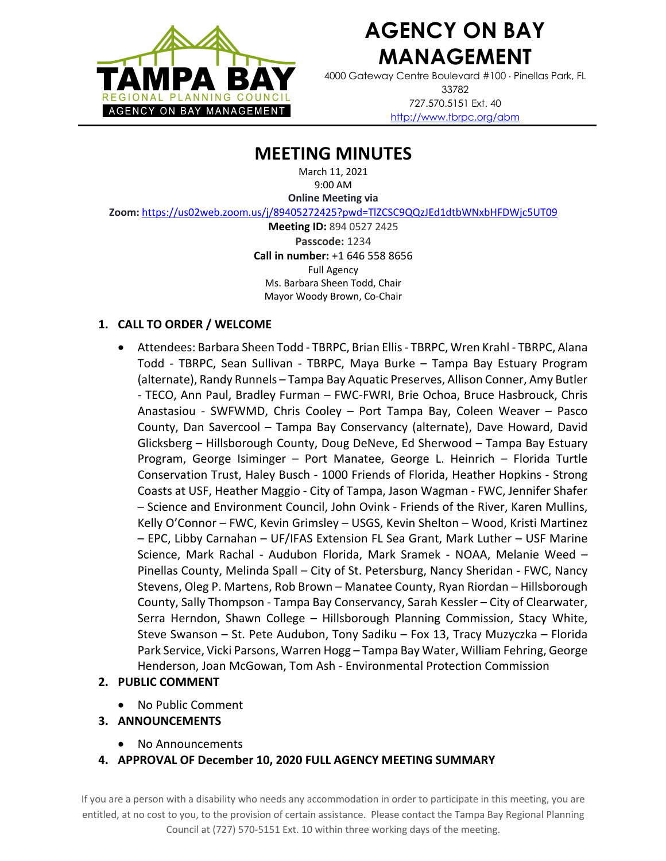

# **AGENCY ON BAY MANAGEMENT**

4000 Gateway Centre Boulevard #100 × Pinellas Park, FL 33782 727.570.5151 Ext. 40 http://www.tbrpc.org/abm

# **MEETING MINUTES**

March 11, 2021 9:00 AM

**Online Meeting via** 

**Zoom:** https://us02web.zoom.us/j/89405272425?pwd=TlZCSC9QQzJEd1dtbWNxbHFDWjc5UT09

**Meeting ID:** 894 0527 2425 **Passcode:** 1234 **Call in number:** +1 646 558 8656 Full Agency Ms. Barbara Sheen Todd, Chair Mayor Woody Brown, Co-Chair

# **1. CALL TO ORDER / WELCOME**

• Attendees: Barbara Sheen Todd - TBRPC, Brian Ellis- TBRPC, Wren Krahl - TBRPC, Alana Todd - TBRPC, Sean Sullivan - TBRPC, Maya Burke – Tampa Bay Estuary Program (alternate), Randy Runnels – Tampa Bay Aquatic Preserves, Allison Conner, Amy Butler - TECO, Ann Paul, Bradley Furman – FWC-FWRI, Brie Ochoa, Bruce Hasbrouck, Chris Anastasiou - SWFWMD, Chris Cooley – Port Tampa Bay, Coleen Weaver – Pasco County, Dan Savercool – Tampa Bay Conservancy (alternate), Dave Howard, David Glicksberg – Hillsborough County, Doug DeNeve, Ed Sherwood – Tampa Bay Estuary Program, George Isiminger – Port Manatee, George L. Heinrich – Florida Turtle Conservation Trust, Haley Busch - 1000 Friends of Florida, Heather Hopkins - Strong Coasts at USF, Heather Maggio - City of Tampa, Jason Wagman - FWC, Jennifer Shafer – Science and Environment Council, John Ovink - Friends of the River, Karen Mullins, Kelly O'Connor – FWC, Kevin Grimsley – USGS, Kevin Shelton – Wood, Kristi Martinez – EPC, Libby Carnahan – UF/IFAS Extension FL Sea Grant, Mark Luther – USF Marine Science, Mark Rachal - Audubon Florida, Mark Sramek - NOAA, Melanie Weed – Pinellas County, Melinda Spall – City of St. Petersburg, Nancy Sheridan - FWC, Nancy Stevens, Oleg P. Martens, Rob Brown – Manatee County, Ryan Riordan – Hillsborough County, Sally Thompson - Tampa Bay Conservancy, Sarah Kessler – City of Clearwater, Serra Herndon, Shawn College – Hillsborough Planning Commission, Stacy White, Steve Swanson – St. Pete Audubon, Tony Sadiku – Fox 13, Tracy Muzyczka – Florida Park Service, Vicki Parsons, Warren Hogg – Tampa Bay Water, William Fehring, George Henderson, Joan McGowan, Tom Ash - Environmental Protection Commission

# **2. PUBLIC COMMENT**

• No Public Comment

# **3. ANNOUNCEMENTS**

- No Announcements
- **4. APPROVAL OF December 10, 2020 FULL AGENCY MEETING SUMMARY**

If you are a person with a disability who needs any accommodation in order to participate in this meeting, you are entitled, at no cost to you, to the provision of certain assistance. Please contact the Tampa Bay Regional Planning Council at (727) 570-5151 Ext. 10 within three working days of the meeting.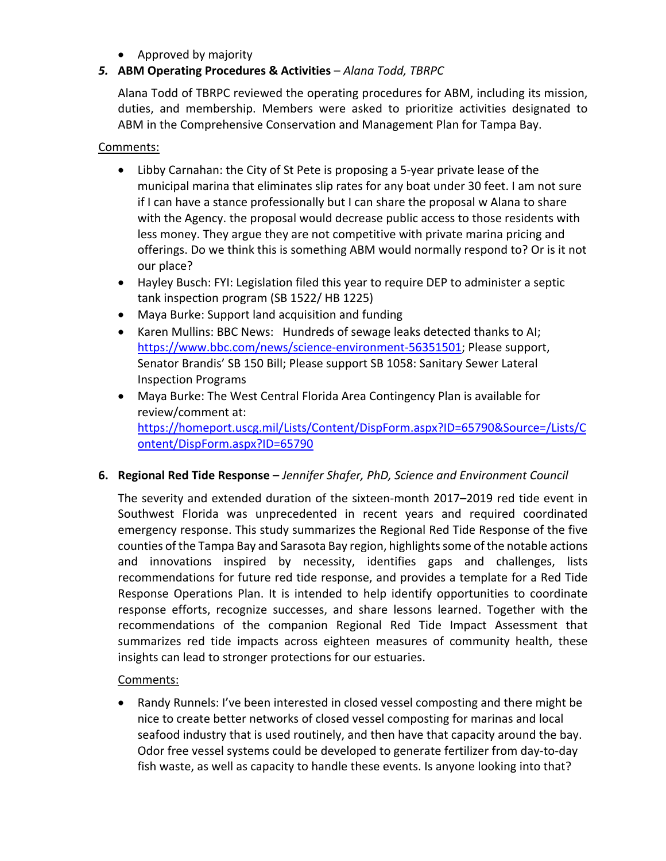# • Approved by majority

# *5.* **ABM Operating Procedures & Activities** – *Alana Todd, TBRPC*

Alana Todd of TBRPC reviewed the operating procedures for ABM, including its mission, duties, and membership. Members were asked to prioritize activities designated to ABM in the Comprehensive Conservation and Management Plan for Tampa Bay.

#### Comments:

- Libby Carnahan: the City of St Pete is proposing a 5-year private lease of the municipal marina that eliminates slip rates for any boat under 30 feet. I am not sure if I can have a stance professionally but I can share the proposal w Alana to share with the Agency. the proposal would decrease public access to those residents with less money. They argue they are not competitive with private marina pricing and offerings. Do we think this is something ABM would normally respond to? Or is it not our place?
- Hayley Busch: FYI: Legislation filed this year to require DEP to administer a septic tank inspection program (SB 1522/ HB 1225)
- Maya Burke: Support land acquisition and funding
- Karen Mullins: BBC News: Hundreds of sewage leaks detected thanks to AI; https://www.bbc.com/news/science-environment-56351501; Please support, Senator Brandis' SB 150 Bill; Please support SB 1058: Sanitary Sewer Lateral Inspection Programs
- Maya Burke: The West Central Florida Area Contingency Plan is available for review/comment at: https://homeport.uscg.mil/Lists/Content/DispForm.aspx?ID=65790&Source=/Lists/C ontent/DispForm.aspx?ID=65790

# **6. Regional Red Tide Response** – *Jennifer Shafer, PhD, Science and Environment Council*

The severity and extended duration of the sixteen-month 2017–2019 red tide event in Southwest Florida was unprecedented in recent years and required coordinated emergency response. This study summarizes the Regional Red Tide Response of the five counties of the Tampa Bay and Sarasota Bay region, highlights some of the notable actions and innovations inspired by necessity, identifies gaps and challenges, lists recommendations for future red tide response, and provides a template for a Red Tide Response Operations Plan. It is intended to help identify opportunities to coordinate response efforts, recognize successes, and share lessons learned. Together with the recommendations of the companion Regional Red Tide Impact Assessment that summarizes red tide impacts across eighteen measures of community health, these insights can lead to stronger protections for our estuaries.

# Comments:

• Randy Runnels: I've been interested in closed vessel composting and there might be nice to create better networks of closed vessel composting for marinas and local seafood industry that is used routinely, and then have that capacity around the bay. Odor free vessel systems could be developed to generate fertilizer from day-to-day fish waste, as well as capacity to handle these events. Is anyone looking into that?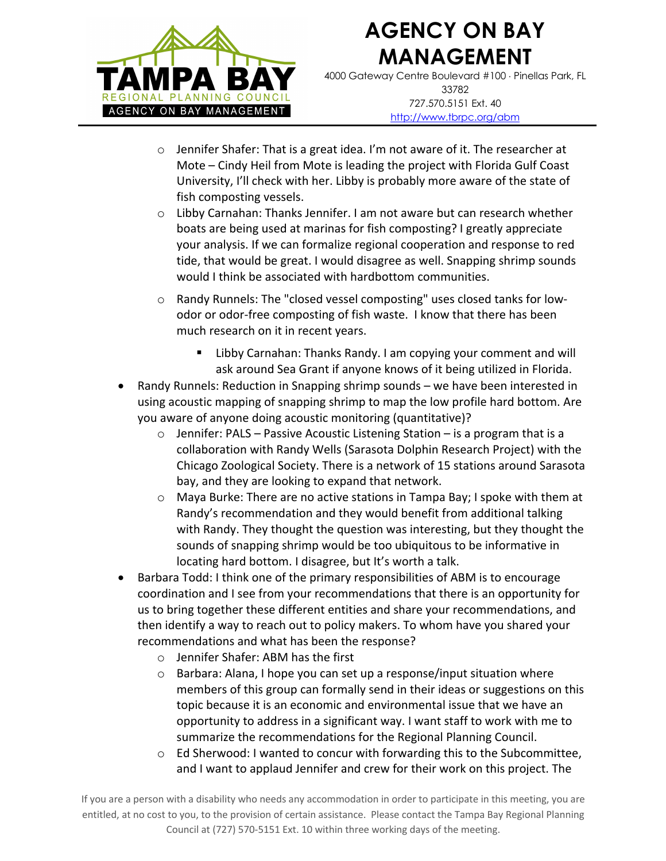

# **AGENCY ON BAY MANAGEMENT**

4000 Gateway Centre Boulevard #100 × Pinellas Park, FL 33782 727.570.5151 Ext. 40 http://www.tbrpc.org/abm

- o Jennifer Shafer: That is a great idea. I'm not aware of it. The researcher at Mote – Cindy Heil from Mote is leading the project with Florida Gulf Coast University, I'll check with her. Libby is probably more aware of the state of fish composting vessels.
- o Libby Carnahan: Thanks Jennifer. I am not aware but can research whether boats are being used at marinas for fish composting? I greatly appreciate your analysis. If we can formalize regional cooperation and response to red tide, that would be great. I would disagree as well. Snapping shrimp sounds would I think be associated with hardbottom communities.
- o Randy Runnels: The "closed vessel composting" uses closed tanks for lowodor or odor-free composting of fish waste. I know that there has been much research on it in recent years.
	- Libby Carnahan: Thanks Randy. I am copying your comment and will ask around Sea Grant if anyone knows of it being utilized in Florida.
- Randy Runnels: Reduction in Snapping shrimp sounds we have been interested in using acoustic mapping of snapping shrimp to map the low profile hard bottom. Are you aware of anyone doing acoustic monitoring (quantitative)?
	- $\circ$  Jennifer: PALS Passive Acoustic Listening Station is a program that is a collaboration with Randy Wells (Sarasota Dolphin Research Project) with the Chicago Zoological Society. There is a network of 15 stations around Sarasota bay, and they are looking to expand that network.
	- o Maya Burke: There are no active stations in Tampa Bay; I spoke with them at Randy's recommendation and they would benefit from additional talking with Randy. They thought the question was interesting, but they thought the sounds of snapping shrimp would be too ubiquitous to be informative in locating hard bottom. I disagree, but It's worth a talk.
- Barbara Todd: I think one of the primary responsibilities of ABM is to encourage coordination and I see from your recommendations that there is an opportunity for us to bring together these different entities and share your recommendations, and then identify a way to reach out to policy makers. To whom have you shared your recommendations and what has been the response?
	- o Jennifer Shafer: ABM has the first
	- o Barbara: Alana, I hope you can set up a response/input situation where members of this group can formally send in their ideas or suggestions on this topic because it is an economic and environmental issue that we have an opportunity to address in a significant way. I want staff to work with me to summarize the recommendations for the Regional Planning Council.
	- o Ed Sherwood: I wanted to concur with forwarding this to the Subcommittee, and I want to applaud Jennifer and crew for their work on this project. The

If you are a person with a disability who needs any accommodation in order to participate in this meeting, you are entitled, at no cost to you, to the provision of certain assistance. Please contact the Tampa Bay Regional Planning Council at (727) 570-5151 Ext. 10 within three working days of the meeting.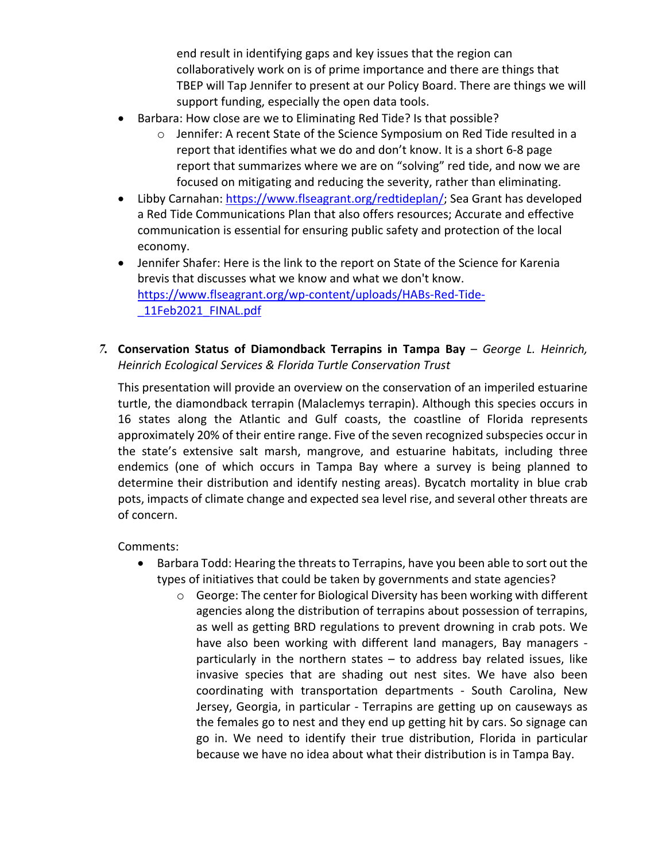end result in identifying gaps and key issues that the region can collaboratively work on is of prime importance and there are things that TBEP will Tap Jennifer to present at our Policy Board. There are things we will support funding, especially the open data tools.

- Barbara: How close are we to Eliminating Red Tide? Is that possible?
	- $\circ$  Jennifer: A recent State of the Science Symposium on Red Tide resulted in a report that identifies what we do and don't know. It is a short 6-8 page report that summarizes where we are on "solving" red tide, and now we are focused on mitigating and reducing the severity, rather than eliminating.
- Libby Carnahan: https://www.flseagrant.org/redtideplan/; Sea Grant has developed a Red Tide Communications Plan that also offers resources; Accurate and effective communication is essential for ensuring public safety and protection of the local economy.
- Jennifer Shafer: Here is the link to the report on State of the Science for Karenia brevis that discusses what we know and what we don't know. https://www.flseagrant.org/wp-content/uploads/HABs-Red-Tide- \_11Feb2021\_FINAL.pdf
- *7.* **Conservation Status of Diamondback Terrapins in Tampa Bay** *George L. Heinrich, Heinrich Ecological Services & Florida Turtle Conservation Trust*

This presentation will provide an overview on the conservation of an imperiled estuarine turtle, the diamondback terrapin (Malaclemys terrapin). Although this species occurs in 16 states along the Atlantic and Gulf coasts, the coastline of Florida represents approximately 20% of their entire range. Five of the seven recognized subspecies occur in the state's extensive salt marsh, mangrove, and estuarine habitats, including three endemics (one of which occurs in Tampa Bay where a survey is being planned to determine their distribution and identify nesting areas). Bycatch mortality in blue crab pots, impacts of climate change and expected sea level rise, and several other threats are of concern.

Comments:

- Barbara Todd: Hearing the threats to Terrapins, have you been able to sort out the types of initiatives that could be taken by governments and state agencies?
	- o George: The center for Biological Diversity has been working with different agencies along the distribution of terrapins about possession of terrapins, as well as getting BRD regulations to prevent drowning in crab pots. We have also been working with different land managers, Bay managers particularly in the northern states – to address bay related issues, like invasive species that are shading out nest sites. We have also been coordinating with transportation departments - South Carolina, New Jersey, Georgia, in particular - Terrapins are getting up on causeways as the females go to nest and they end up getting hit by cars. So signage can go in. We need to identify their true distribution, Florida in particular because we have no idea about what their distribution is in Tampa Bay.